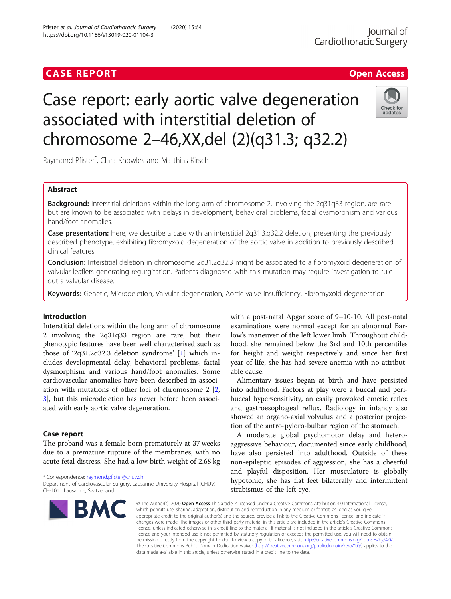## **CASE REPORT CASE REPORT CASE REPORT**

# Case report: early aortic valve degeneration associated with interstitial deletion of chromosome 2–46,XX,del (2)(q31.3; q32.2)

Raymond Pfister\* , Clara Knowles and Matthias Kirsch

## Abstract

**Background:** Interstitial deletions within the long arm of chromosome 2, involving the 2q31q33 region, are rare but are known to be associated with delays in development, behavioral problems, facial dysmorphism and various hand/foot anomalies.

Case presentation: Here, we describe a case with an interstitial 2q31.3.q32.2 deletion, presenting the previously described phenotype, exhibiting fibromyxoid degeneration of the aortic valve in addition to previously described clinical features.

Conclusion: Interstitial deletion in chromosome 2q31.2q32.3 might be associated to a fibromyxoid degeneration of valvular leaflets generating regurgitation. Patients diagnosed with this mutation may require investigation to rule out a valvular disease.

Keywords: Genetic, Microdeletion, Valvular degeneration, Aortic valve insufficiency, Fibromyxoid degeneration

### Introduction

Interstitial deletions within the long arm of chromosome 2 involving the 2q31q33 region are rare, but their phenotypic features have been well characterised such as those of '2q31.2q32.3 deletion syndrome' [[1\]](#page-2-0) which includes developmental delay, behavioral problems, facial dysmorphism and various hand/foot anomalies. Some cardiovascular anomalies have been described in association with mutations of other loci of chromosome 2 [\[2](#page-2-0), [3\]](#page-2-0), but this microdeletion has never before been associated with early aortic valve degeneration.

#### Case report

The proband was a female born prematurely at 37 weeks due to a premature rupture of the membranes, with no acute fetal distress. She had a low birth weight of 2.68 kg

Department of Cardiovascular Surgery, Lausanne University Hospital (CHUV), CH-1011 Lausanne, Switzerland

with a post-natal Apgar score of 9–10-10. All post-natal examinations were normal except for an abnormal Barlow's maneuver of the left lower limb. Throughout childhood, she remained below the 3rd and 10th percentiles for height and weight respectively and since her first year of life, she has had severe anemia with no attributable cause.

Alimentary issues began at birth and have persisted into adulthood. Factors at play were a buccal and peribuccal hypersensitivity, an easily provoked emetic reflex and gastroesophageal reflux. Radiology in infancy also showed an organo-axial volvulus and a posterior projection of the antro-pyloro-bulbar region of the stomach.

A moderate global psychomotor delay and heteroaggressive behaviour, documented since early childhood, have also persisted into adulthood. Outside of these non-epileptic episodes of aggression, she has a cheerful and playful disposition. Her musculature is globally hypotonic, she has flat feet bilaterally and intermittent strabismus of the left eye.

© The Author(s), 2020 **Open Access** This article is licensed under a Creative Commons Attribution 4.0 International License, which permits use, sharing, adaptation, distribution and reproduction in any medium or format, as long as you give appropriate credit to the original author(s) and the source, provide a link to the Creative Commons licence, and indicate if changes were made. The images or other third party material in this article are included in the article's Creative Commons licence, unless indicated otherwise in a credit line to the material. If material is not included in the article's Creative Commons licence and your intended use is not permitted by statutory regulation or exceeds the permitted use, you will need to obtain permission directly from the copyright holder. To view a copy of this licence, visit [http://creativecommons.org/licenses/by/4.0/.](http://creativecommons.org/licenses/by/4.0/) The Creative Commons Public Domain Dedication waiver [\(http://creativecommons.org/publicdomain/zero/1.0/](http://creativecommons.org/publicdomain/zero/1.0/)) applies to the data made available in this article, unless otherwise stated in a credit line to the data.

\* Correspondence: [raymond.pfister@chuv.ch](mailto:raymond.pfister@chuv.ch)

**BMC** 





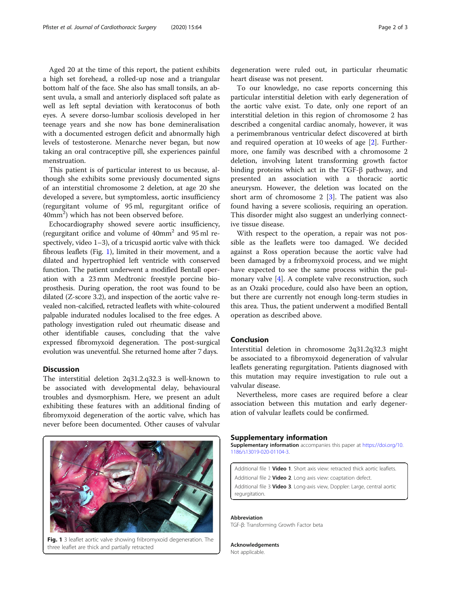Aged 20 at the time of this report, the patient exhibits a high set forehead, a rolled-up nose and a triangular bottom half of the face. She also has small tonsils, an absent uvula, a small and anteriorly displaced soft palate as well as left septal deviation with keratoconus of both eyes. A severe dorso-lumbar scoliosis developed in her teenage years and she now has bone demineralisation with a documented estrogen deficit and abnormally high levels of testosterone. Menarche never began, but now taking an oral contraceptive pill, she experiences painful menstruation.

This patient is of particular interest to us because, although she exhibits some previously documented signs of an interstitial chromosome 2 deletion, at age 20 she developed a severe, but symptomless, aortic insufficiency (regurgitant volume of 95 ml, regurgitant orifice of 40mm<sup>2</sup>) which has not been observed before.

Echocardiography showed severe aortic insufficiency, (regurgitant orifice and volume of 40mm2 and 95 ml respectively, video 1–3), of a tricuspid aortic valve with thick fibrous leaflets (Fig. 1), limited in their movement, and a dilated and hypertrophied left ventricle with conserved function. The patient underwent a modified Bentall operation with a 23 mm Medtronic freestyle porcine bioprosthesis. During operation, the root was found to be dilated (Z-score 3.2), and inspection of the aortic valve revealed non-calcified, retracted leaflets with white-coloured palpable indurated nodules localised to the free edges. A pathology investigation ruled out rheumatic disease and other identifiable causes, concluding that the valve expressed fibromyxoid degeneration. The post-surgical evolution was uneventful. She returned home after 7 days.

#### **Discussion**

The interstitial deletion 2q31.2.q32.3 is well-known to be associated with developmental delay, behavioural troubles and dysmorphism. Here, we present an adult exhibiting these features with an additional finding of fibromyxoid degeneration of the aortic valve, which has never before been documented. Other causes of valvular



Fig. 1 3 leaflet aortic valve showing fribromyxoid degeneration. The three leaflet are thick and partially retracted

To our knowledge, no case reports concerning this particular interstitial deletion with early degeneration of the aortic valve exist. To date, only one report of an interstitial deletion in this region of chromosome 2 has described a congenital cardiac anomaly, however, it was a perimembranous ventricular defect discovered at birth and required operation at 10 weeks of age [\[2\]](#page-2-0). Furthermore, one family was described with a chromosome 2 deletion, involving latent transforming growth factor binding proteins which act in the TGF-β pathway, and presented an association with a thoracic aortic aneurysm. However, the deletion was located on the short arm of chromosome  $2 \times 3$ . The patient was also found having a severe scoliosis, requiring an operation. This disorder might also suggest an underlying connective tissue disease.

With respect to the operation, a repair was not possible as the leaflets were too damaged. We decided against a Ross operation because the aortic valve had been damaged by a fribromyxoid process, and we might have expected to see the same process within the pulmonary valve [\[4](#page-2-0)]. A complete valve reconstruction, such as an Ozaki procedure, could also have been an option, but there are currently not enough long-term studies in this area. Thus, the patient underwent a modified Bentall operation as described above.

#### Conclusion

Interstitial deletion in chromosome 2q31.2q32.3 might be associated to a fibromyxoid degeneration of valvular leaflets generating regurgitation. Patients diagnosed with this mutation may require investigation to rule out a valvular disease.

Nevertheless, more cases are required before a clear association between this mutation and early degeneration of valvular leaflets could be confirmed.

#### Supplementary information

Supplementary information accompanies this paper at [https://doi.org/10.](https://doi.org/10.1186/s13019-020-01104-3) [1186/s13019-020-01104-3](https://doi.org/10.1186/s13019-020-01104-3).

Additional file 1 Video 1. Short axis view: retracted thick aortic leaflets. Additional file 2 Video 2. Long axis view: coaptation defect. Additional file 3 Video 3. Long-axis view, Doppler: Large, central aortic regurgitation.

Abbreviation TGF-β: Transforming Growth Factor beta

Acknowledgements Not applicable.